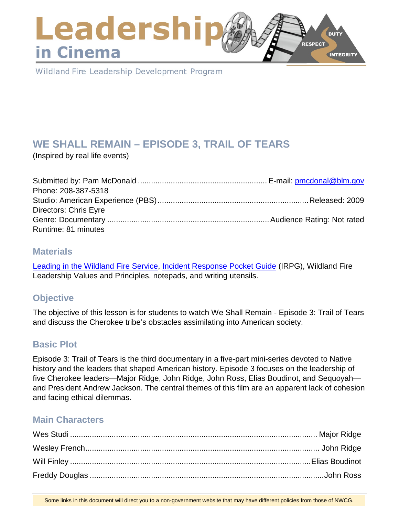### Leadershi **DUTY RESPECT** in Cinema **INTEGRITY**

Wildland Fire Leadership Development Program

# **WE SHALL REMAIN – EPISODE 3, TRAIL OF TEARS**

(Inspired by real life events)

| Phone: 208-387-5318          |  |
|------------------------------|--|
|                              |  |
| <b>Directors: Chris Eyre</b> |  |
|                              |  |
| Runtime: 81 minutes          |  |

### **Materials**

[Leading in the Wildland Fire Service,](https://www.nwcg.gov/publications/494-2) [Incident Response Pocket Guide](https://www.nwcg.gov/publications/461) (IRPG), Wildland Fire Leadership Values and Principles, notepads, and writing utensils.

# **Objective**

The objective of this lesson is for students to watch We Shall Remain - Episode 3: Trail of Tears and discuss the Cherokee tribe's obstacles assimilating into American society.

# **Basic Plot**

Episode 3: Trail of Tears is the third documentary in a five-part mini-series devoted to Native history and the leaders that shaped American history. Episode 3 focuses on the leadership of five Cherokee leaders—Major Ridge, John Ridge, John Ross, Elias Boudinot, and Sequoyah and President Andrew Jackson. The central themes of this film are an apparent lack of cohesion and facing ethical dilemmas.

# **Main Characters**

Some links in this document will direct you to a non-government website that may have different policies from those of NWCG.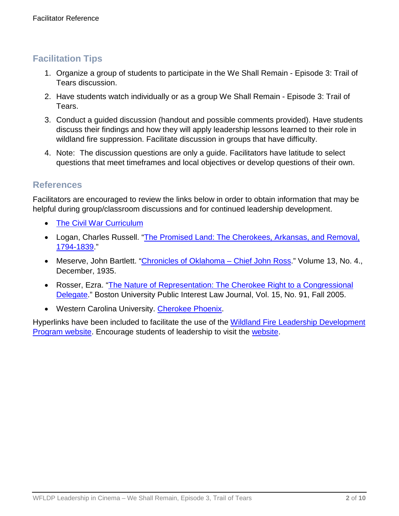# **Facilitation Tips**

- 1. Organize a group of students to participate in the We Shall Remain Episode 3: Trail of Tears discussion.
- 2. Have students watch individually or as a group We Shall Remain Episode 3: Trail of Tears.
- 3. Conduct a guided discussion (handout and possible comments provided). Have students discuss their findings and how they will apply leadership lessons learned to their role in wildland fire suppression. Facilitate discussion in groups that have difficulty.
- 4. Note: The discussion questions are only a guide. Facilitators have latitude to select questions that meet timeframes and local objectives or develop questions of their own.

### **References**

Facilitators are encouraged to review the links below in order to obtain information that may be helpful during group/classroom discussions and for continued leadership development.

- [The Civil War Curriculum](https://www.civilwar.org/learn/educators/civil-war-curriculum)
- Logan, Charles Russell. ["The Promised Land: The Cherokees, Arkansas, and Removal,](http://www.westerncherokees.com/NewFiles/Cherokee_Removal%20copy.pdf) [1794-1839.](http://www.westerncherokees.com/NewFiles/Cherokee_Removal%20copy.pdf)"
- Meserve, John Bartlett. ["Chronicles of Oklahoma Chief John Ross.](http://digital.library.okstate.edu/Chronicles/v013/v013p421.html)" Volume 13, No. 4., December, 1935.
- Rosser, Ezra. ["The Nature of Representation: The Cherokee Right to a Congressional](file://ilmfcop3fp8.blm.doi.net/users$/pmcdonal/Leadership/Toolbox/Leadership%20in%20Cinema/Lesson%20Plans/We%20Shall%20Remain/3%20-Trail%20of%20Tears/%E2%80%A2%09http:/www.bu.edu/law/central/jd/organizations/journals/pilj/vol15no1/documents/15-1RosserArticle.pdf) [Delegate.](file://ilmfcop3fp8.blm.doi.net/users$/pmcdonal/Leadership/Toolbox/Leadership%20in%20Cinema/Lesson%20Plans/We%20Shall%20Remain/3%20-Trail%20of%20Tears/%E2%80%A2%09http:/www.bu.edu/law/central/jd/organizations/journals/pilj/vol15no1/documents/15-1RosserArticle.pdf)" Boston University Public Interest Law Journal, Vol. 15, No. 91, Fall 2005.
- Western Carolina University. [Cherokee Phoenix.](http://www.wcu.edu/library/CherokeePhoenix/)

Hyperlinks have been included to facilitate the use of the Wildland Fire Leadership Development [Program website.](https://www.fireleadership.gov/) Encourage students of leadership to visit the [website.](https://www.fireleadership.gov/)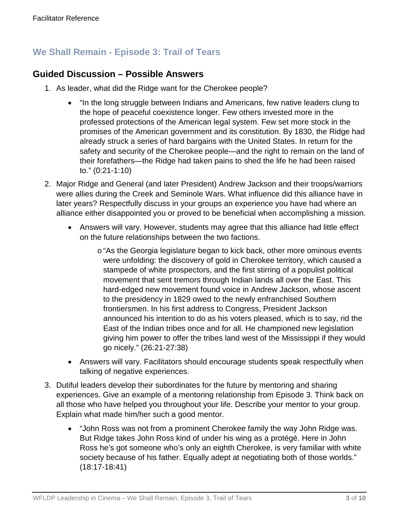# **We Shall Remain - Episode 3: Trail of Tears**

### **Guided Discussion – Possible Answers**

- 1. As leader, what did the Ridge want for the Cherokee people?
	- "In the long struggle between Indians and Americans, few native leaders clung to the hope of peaceful coexistence longer. Few others invested more in the professed protections of the American legal system. Few set more stock in the promises of the American government and its constitution. By 1830, the Ridge had already struck a series of hard bargains with the United States. In return for the safety and security of the Cherokee people—and the right to remain on the land of their forefathers—the Ridge had taken pains to shed the life he had been raised to." (0:21-1:10)
- 2. Major Ridge and General (and later President) Andrew Jackson and their troops/warriors were allies during the Creek and Seminole Wars. What influence did this alliance have in later years? Respectfully discuss in your groups an experience you have had where an alliance either disappointed you or proved to be beneficial when accomplishing a mission.
	- Answers will vary. However, students may agree that this alliance had little effect on the future relationships between the two factions.
		- o"As the Georgia legislature began to kick back, other more ominous events were unfolding: the discovery of gold in Cherokee territory, which caused a stampede of white prospectors, and the first stirring of a populist political movement that sent tremors through Indian lands all over the East. This hard-edged new movement found voice in Andrew Jackson, whose ascent to the presidency in 1829 owed to the newly enfranchised Southern frontiersmen. In his first address to Congress, President Jackson announced his intention to do as his voters pleased, which is to say, rid the East of the Indian tribes once and for all. He championed new legislation giving him power to offer the tribes land west of the Mississippi if they would go nicely." (26:21-27:38)
	- Answers will vary. Facilitators should encourage students speak respectfully when talking of negative experiences.
- 3. Dutiful leaders develop their subordinates for the future by mentoring and sharing experiences. Give an example of a mentoring relationship from Episode 3. Think back on all those who have helped you throughout your life. Describe your mentor to your group. Explain what made him/her such a good mentor.
	- "John Ross was not from a prominent Cherokee family the way John Ridge was. But Ridge takes John Ross kind of under his wing as a protégé. Here in John Ross he's got someone who's only an eighth Cherokee, is very familiar with white society because of his father. Equally adept at negotiating both of those worlds." (18:17-18:41)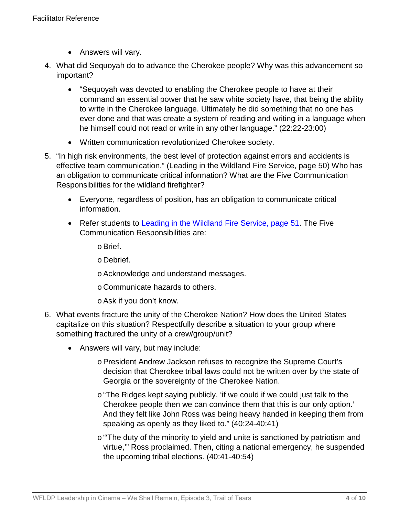- Answers will vary.
- 4. What did Sequoyah do to advance the Cherokee people? Why was this advancement so important?
	- "Sequoyah was devoted to enabling the Cherokee people to have at their command an essential power that he saw white society have, that being the ability to write in the Cherokee language. Ultimately he did something that no one has ever done and that was create a system of reading and writing in a language when he himself could not read or write in any other language." (22:22-23:00)
	- Written communication revolutionized Cherokee society.
- 5. "In high risk environments, the best level of protection against errors and accidents is effective team communication." (Leading in the Wildland Fire Service, page 50) Who has an obligation to communicate critical information? What are the Five Communication Responsibilities for the wildland firefighter?
	- Everyone, regardless of position, has an obligation to communicate critical information.
	- Refer students to [Leading in the Wildland Fire Service, page 51.](https://www.nwcg.gov/publications/494-2) The Five Communication Responsibilities are:
		- oBrief.
		- o Debrief.
		- oAcknowledge and understand messages.
		- o Communicate hazards to others.
		- oAsk if you don't know.
- 6. What events fracture the unity of the Cherokee Nation? How does the United States capitalize on this situation? Respectfully describe a situation to your group where something fractured the unity of a crew/group/unit?
	- Answers will vary, but may include:
		- o President Andrew Jackson refuses to recognize the Supreme Court's decision that Cherokee tribal laws could not be written over by the state of Georgia or the sovereignty of the Cherokee Nation.
		- o"The Ridges kept saying publicly, 'if we could if we could just talk to the Cherokee people then we can convince them that this is our only option.' And they felt like John Ross was being heavy handed in keeping them from speaking as openly as they liked to." (40:24-40:41)
		- o "'The duty of the minority to yield and unite is sanctioned by patriotism and virtue,'" Ross proclaimed. Then, citing a national emergency, he suspended the upcoming tribal elections. (40:41-40:54)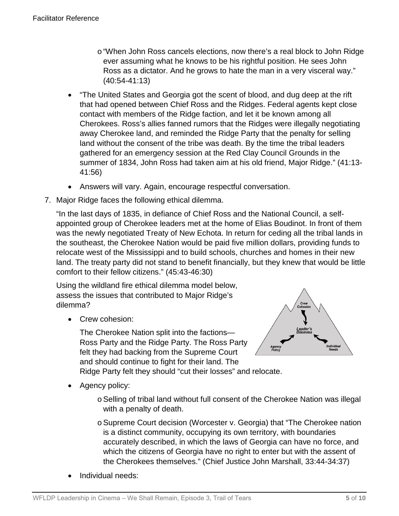- o "When John Ross cancels elections, now there's a real block to John Ridge ever assuming what he knows to be his rightful position. He sees John Ross as a dictator. And he grows to hate the man in a very visceral way." (40:54-41:13)
- "The United States and Georgia got the scent of blood, and dug deep at the rift that had opened between Chief Ross and the Ridges. Federal agents kept close contact with members of the Ridge faction, and let it be known among all Cherokees. Ross's allies fanned rumors that the Ridges were illegally negotiating away Cherokee land, and reminded the Ridge Party that the penalty for selling land without the consent of the tribe was death. By the time the tribal leaders gathered for an emergency session at the Red Clay Council Grounds in the summer of 1834, John Ross had taken aim at his old friend, Major Ridge." (41:13- 41:56)
- Answers will vary. Again, encourage respectful conversation.
- 7. Major Ridge faces the following ethical dilemma.

"In the last days of 1835, in defiance of Chief Ross and the National Council, a selfappointed group of Cherokee leaders met at the home of Elias Boudinot. In front of them was the newly negotiated Treaty of New Echota. In return for ceding all the tribal lands in the southeast, the Cherokee Nation would be paid five million dollars, providing funds to relocate west of the Mississippi and to build schools, churches and homes in their new land. The treaty party did not stand to benefit financially, but they knew that would be little comfort to their fellow citizens." (45:43-46:30)

Using the wildland fire ethical dilemma model below, assess the issues that contributed to Major Ridge's dilemma?

• Crew cohesion:

The Cherokee Nation split into the factions— Ross Party and the Ridge Party. The Ross Party felt they had backing from the Supreme Court and should continue to fight for their land. The Ridge Party felt they should "cut their losses" and relocate.



- Agency policy:
	- oSelling of tribal land without full consent of the Cherokee Nation was illegal with a penalty of death.
	- oSupreme Court decision (Worcester v. Georgia) that "The Cherokee nation is a distinct community, occupying its own territory, with boundaries accurately described, in which the laws of Georgia can have no force, and which the citizens of Georgia have no right to enter but with the assent of the Cherokees themselves." (Chief Justice John Marshall, 33:44-34:37)
- Individual needs: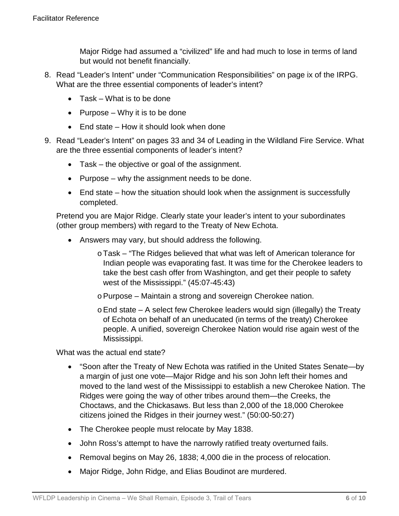Major Ridge had assumed a "civilized" life and had much to lose in terms of land but would not benefit financially.

- 8. Read "Leader's Intent" under "Communication Responsibilities" on page ix of the IRPG. What are the three essential components of leader's intent?
	- Task What is to be done
	- Purpose Why it is to be done
	- Fnd state How it should look when done
- 9. Read "Leader's Intent" on pages 33 and 34 of Leading in the Wildland Fire Service. What are the three essential components of leader's intent?
	- Task the objective or goal of the assignment.
	- Purpose why the assignment needs to be done.
	- End state how the situation should look when the assignment is successfully completed.

Pretend you are Major Ridge. Clearly state your leader's intent to your subordinates (other group members) with regard to the Treaty of New Echota.

- Answers may vary, but should address the following.
	- o Task "The Ridges believed that what was left of American tolerance for Indian people was evaporating fast. It was time for the Cherokee leaders to take the best cash offer from Washington, and get their people to safety west of the Mississippi." (45:07-45:43)
	- oPurpose Maintain a strong and sovereign Cherokee nation.
	- $\circ$  End state A select few Cherokee leaders would sign (illegally) the Treaty of Echota on behalf of an uneducated (in terms of the treaty) Cherokee people. A unified, sovereign Cherokee Nation would rise again west of the Mississippi.

What was the actual end state?

- "Soon after the Treaty of New Echota was ratified in the United States Senate—by a margin of just one vote—Major Ridge and his son John left their homes and moved to the land west of the Mississippi to establish a new Cherokee Nation. The Ridges were going the way of other tribes around them—the Creeks, the Choctaws, and the Chickasaws. But less than 2,000 of the 18,000 Cherokee citizens joined the Ridges in their journey west." (50:00-50:27)
- The Cherokee people must relocate by May 1838.
- John Ross's attempt to have the narrowly ratified treaty overturned fails.
- Removal begins on May 26, 1838; 4,000 die in the process of relocation.
- Major Ridge, John Ridge, and Elias Boudinot are murdered.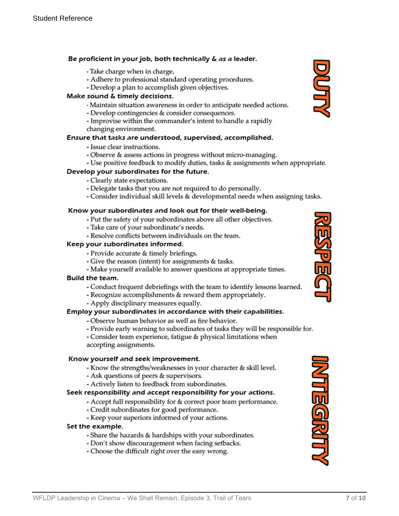#### Be proficient in your job, both technically & as a leader.

- Take charge when in charge.
- Adhere to professional standard operating procedures.
- Develop a plan to accomplish given objectives.

#### Make sound & timely decisions.

- Maintain situation awareness in order to anticipate needed actions.
- Develop contingencies & consider consequences.
- Improvise within the commander's intent to handle a rapidly changing environment.

#### Ensure that tasks are understood, supervised, accomplished.

- Issue clear instructions.
- Observe & assess actions in progress without micro-managing.
- Use positive feedback to modify duties, tasks & assignments when appropriate.

#### Develop your subordinates for the future.

- Clearly state expectations.
- Delegate tasks that you are not required to do personally.
- Consider individual skill levels & developmental needs when assigning tasks.

#### Know your subordinates and look out for their well-being.

- Put the safety of your subordinates above all other objectives.
- Take care of your subordinate's needs.
- Resolve conflicts between individuals on the team.

#### Keep your subordinates informed.

- Provide accurate & timely briefings.
- Give the reason (intent) for assignments & tasks.
- Make yourself available to answer questions at appropriate times.

#### Build the team.

- Conduct frequent debriefings with the team to identify lessons learned.
- Recognize accomplishments & reward them appropriately.
- Apply disciplinary measures equally.

#### Employ your subordinates in accordance with their capabilities.

- Observe human behavior as well as fire behavior.
- Provide early warning to subordinates of tasks they will be responsible for.
- Consider team experience, fatigue & physical limitations when accepting assignments.

#### Know yourself and seek improvement.

- Know the strengths/weaknesses in your character & skill level.
- Ask questions of peers & supervisors.
- Actively listen to feedback from subordinates.

#### Seek responsibility and accept responsibility for your actions.

- Accept full responsibility for & correct poor team performance.
- Credit subordinates for good performance.
- Keep your superiors informed of your actions.

#### Set the example.

- Share the hazards & hardships with your subordinates.
- Don't show discouragement when facing setbacks.
- Choose the difficult right over the easy wrong.





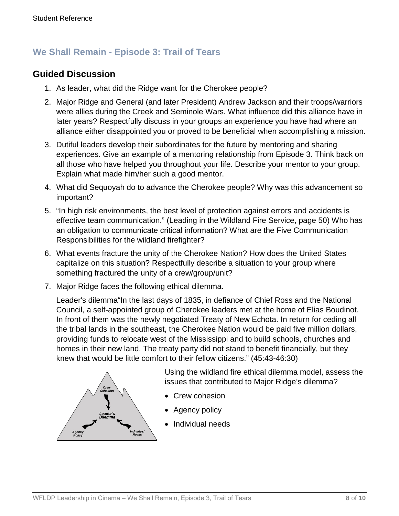# **We Shall Remain - Episode 3: Trail of Tears**

### **Guided Discussion**

- 1. As leader, what did the Ridge want for the Cherokee people?
- 2. Major Ridge and General (and later President) Andrew Jackson and their troops/warriors were allies during the Creek and Seminole Wars. What influence did this alliance have in later years? Respectfully discuss in your groups an experience you have had where an alliance either disappointed you or proved to be beneficial when accomplishing a mission.
- 3. Dutiful leaders develop their subordinates for the future by mentoring and sharing experiences. Give an example of a mentoring relationship from Episode 3. Think back on all those who have helped you throughout your life. Describe your mentor to your group. Explain what made him/her such a good mentor.
- 4. What did Sequoyah do to advance the Cherokee people? Why was this advancement so important?
- 5. "In high risk environments, the best level of protection against errors and accidents is effective team communication." (Leading in the Wildland Fire Service, page 50) Who has an obligation to communicate critical information? What are the Five Communication Responsibilities for the wildland firefighter?
- 6. What events fracture the unity of the Cherokee Nation? How does the United States capitalize on this situation? Respectfully describe a situation to your group where something fractured the unity of a crew/group/unit?
- 7. Major Ridge faces the following ethical dilemma.

Leader's dilemma"In the last days of 1835, in defiance of Chief Ross and the National Council, a self-appointed group of Cherokee leaders met at the home of Elias Boudinot. In front of them was the newly negotiated Treaty of New Echota. In return for ceding all the tribal lands in the southeast, the Cherokee Nation would be paid five million dollars, providing funds to relocate west of the Mississippi and to build schools, churches and homes in their new land. The treaty party did not stand to benefit financially, but they knew that would be little comfort to their fellow citizens." (45:43-46:30)



Using the wildland fire ethical dilemma model, assess the issues that contributed to Major Ridge's dilemma?

- Crew cohesion
- Agency policy
- Individual needs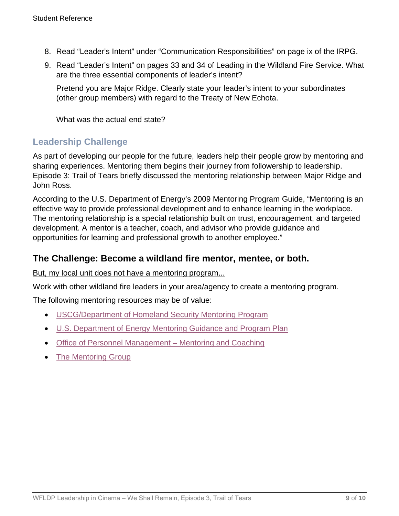- 8. Read "Leader's Intent" under "Communication Responsibilities" on page ix of the IRPG.
- 9. Read "Leader's Intent" on pages 33 and 34 of Leading in the Wildland Fire Service. What are the three essential components of leader's intent?

Pretend you are Major Ridge. Clearly state your leader's intent to your subordinates (other group members) with regard to the Treaty of New Echota.

What was the actual end state?

### **Leadership Challenge**

As part of developing our people for the future, leaders help their people grow by mentoring and sharing experiences. Mentoring them begins their journey from followership to leadership. Episode 3: Trail of Tears briefly discussed the mentoring relationship between Major Ridge and John Ross.

According to the U.S. Department of Energy's 2009 Mentoring Program Guide, "Mentoring is an effective way to provide professional development and to enhance learning in the workplace. The mentoring relationship is a special relationship built on trust, encouragement, and targeted development. A mentor is a teacher, coach, and advisor who provide guidance and opportunities for learning and professional growth to another employee."

### **The Challenge: Become a wildland fire mentor, mentee, or both.**

But, my local unit does not have a mentoring program...

Work with other wildland fire leaders in your area/agency to create a mentoring program.

The following mentoring resources may be of value:

- [USCG/Department of Homeland Security Mentoring Program](http://www.dcms.uscg.mil/Our-Organization/Assistant-Commandant-for-Human-Resources-CG-1/Civilian-Human-Resources-Diversity-and-Leadership-Directorate-CG-12/Office-of-Leadership-CG-12C/Programs/DHS-Mentoring/)
- U.S. Department of Energy [Mentoring Guidance and Program](https://energy.gov/hc/downloads/doe-mentoring-guidance-and-program-plan) Plan
- [Office of Personnel Management Mentoring and Coaching](https://www.opm.gov/wiki/training/Mentoring-and-Coaching.ashx)
- [The Mentoring Group](https://mentoringgroup.com/)